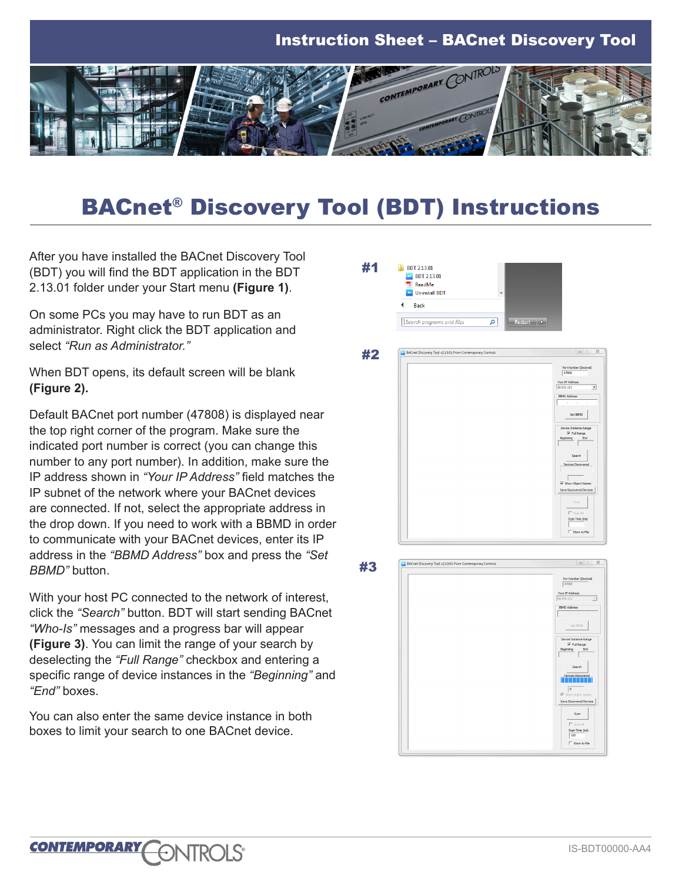# Instruction Sheet – BACnet Discovery Tool



# BACnet® Discovery Tool (BDT) Instructions

After you have installed the BACnet Discovery Tool (BDT) you will find the BDT application in the BDT 2.13.01 folder under your Start menu **(Figure 1)**.

On some PCs you may have to run BDT as an administrator. Right click the BDT application and select *"Run as Administrator."*

When BDT opens, its default screen will be blank **(Figure 2).**

Default BACnet port number (47808) is displayed near the top right corner of the program. Make sure the indicated port number is correct (you can change this number to any port number). In addition, make sure the IP address shown in *"Your IP Address"* field matches the IP subnet of the network where your BACnet devices are connected. If not, select the appropriate address in the drop down. If you need to work with a BBMD in order to communicate with your BACnet devices, enter its IP address in the *"BBMD Address"* box and press the *"Set BBMD"* button.

With your host PC connected to the network of interest, click the *"Search"* button. BDT will start sending BACnet *"Who-Is"* messages and a progress bar will appear **(Figure 3)**. You can limit the range of your search by deselecting the *"Full Range"* checkbox and entering a specific range of device instances in the *"Beginning"* and *"End"* boxes.

You can also enter the same device instance in both boxes to limit your search to one BACnet device.

CONTEMPORARY CONTROLS

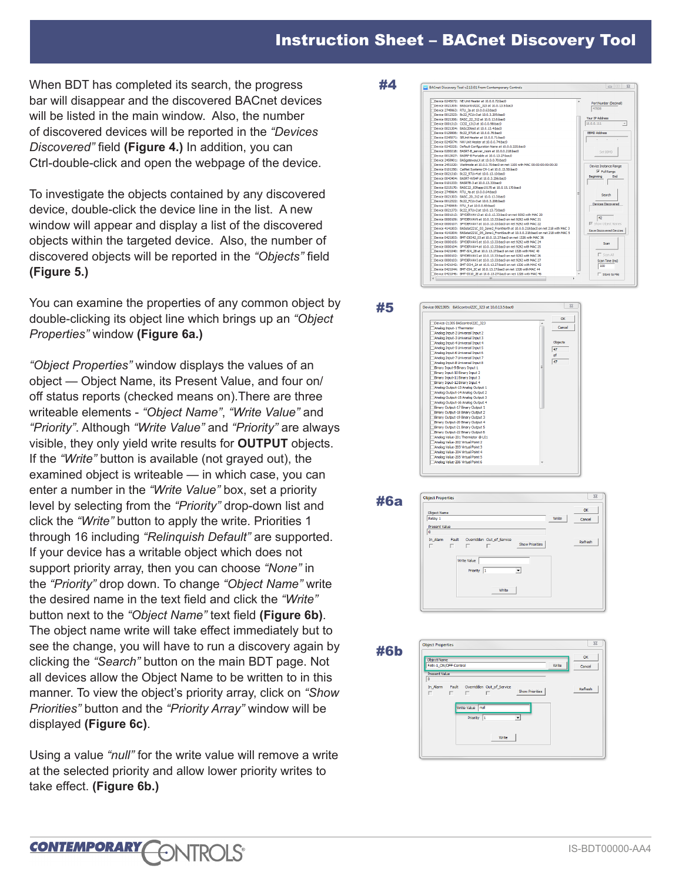# Instruction Sheet – BACnet Discovery Tool

When BDT has completed its search, the progress bar will disappear and the discovered BACnet devices will be listed in the main window. Also, the number of discovered devices will be reported in the *"Devices Discovered"* field **(Figure 4.)** In addition, you can Ctrl-double-click and open the webpage of the device.

To investigate the objects contained by any discovered device, double-click the device line in the list. A new window will appear and display a list of the discovered objects within the targeted device. Also, the number of discovered objects will be reported in the *"Objects"* field **(Figure 5.)**

You can examine the properties of any common object by double-clicking its object line which brings up an *"Object Properties"* window **(Figure 6a.)** 

*"Object Properties"* window displays the values of an object — Object Name, its Present Value, and four on/ off status reports (checked means on).There are three writeable elements - *"Object Name"*, *"Write Value"* and *"Priority"*. Although *"Write Value"* and *"Priority"* are always visible, they only yield write results for **OUTPUT** objects. If the *"Write"* button is available (not grayed out), the examined object is writeable — in which case, you can enter a number in the *"Write Value"* box, set a priority level by selecting from the *"Priority"* drop-down list and click the *"Write"* button to apply the write. Priorities 1 through 16 including *"Relinquish Default"* are supported. If your device has a writable object which does not support priority array, then you can choose *"None"* in the *"Priority"* drop down. To change *"Object Name"* write the desired name in the text field and click the *"Write"* button next to the *"Object Name"* text field **(Figure 6b)**. The object name write will take effect immediately but to see the change, you will have to run a discovery again by clicking the *"Search"* button on the main BDT page. Not all devices allow the Object Name to be written to in this manner. To view the object's priority array, click on *"Show Priorities"* button and the *"Priority Array"* window will be displayed **(Figure 6c)**.

Using a value *"null"* for the write value will remove a write at the selected priority and allow lower priority writes to take effect. **(Figure 6b.)**

CONTEMPORARY CONTROLS

#4 BACnet Discovery Tool v2.13.01 From Contemporary C NE Unit Heater at 10.0.0.72 Port Number (De 021303: BASORIFORZA\_323 et 10.0<br>749063: RTU\_3a at 10.0.0.63:bac0<br>012323: Bc22\_FCUv3 at 10.0.3.205<br>021306: BASC\_22\_312 at 10.0.13.6 Your IP Address 021306: BASC\_22\_312.8t<br>001313: CCSI\_1313.at 10.<br>021304: BASc20test at 10 BASc20test at 1<br>Bc22\_RTU6 at 1<br>SFLivit Heater a Scan  $\Gamma$  so Scan Time (ms)<br>| 100 .<br>□ Store to Fil #5 Device 0021305: BAScontrol22C\_323 at 10.0.13.5:bac0  $OK$ Device-21305 BAScontrol22C\_32:<br>Analog Input-1 Thermistor<br>Analog Input-2 Universal Input 2<br>Analog Input-3 Universal Input 3<br>Analog Input-4 Universal Input 4<br>Analog Input-4 Universal Input 4 Cancel Objects  $\sqrt{47}$  $\frac{of}{47}$ .<br>Object Properties  $\overline{\mathbb{Z}}$ #6a  $OK$ Object Nat Cancel Present Val Overridden Out\_of\_Service Refresh Write Value Write |  $\overline{\mathbb{Z}}$ **Object Properties** #6b $OK$ Object Name<br>FAN-1\_ON/OFF Control Cancel Fault Overridden Out\_of\_Service Refresh

 $\sim$  Write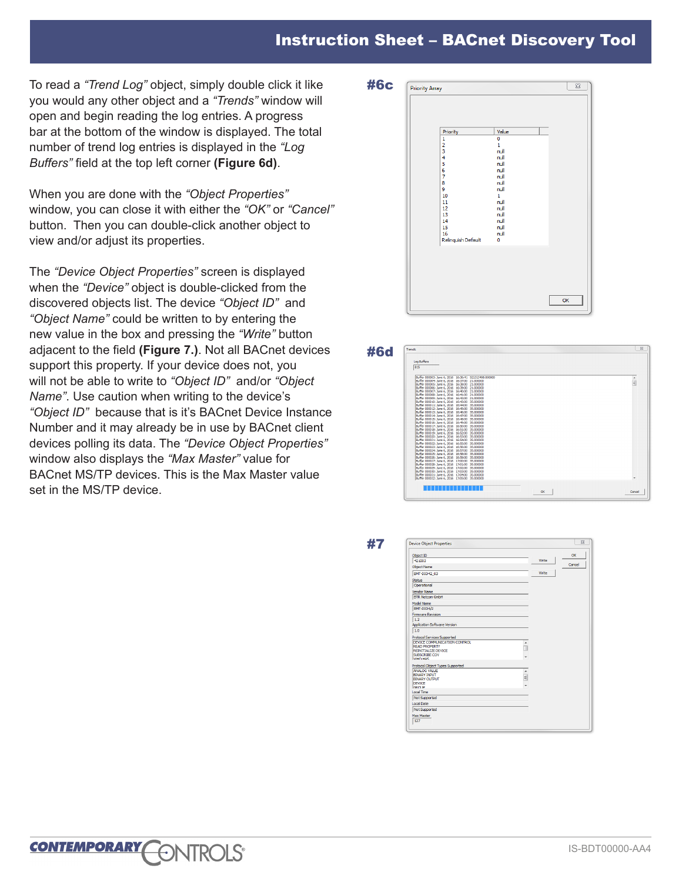# Instruction Sheet – BACnet Discovery Tool

To read a *"Trend Log"* object, simply double click it like you would any other object and a *"Trends"* window will open and begin reading the log entries. A progress bar at the bottom of the window is displayed. The total number of trend log entries is displayed in the *"Log Buffers"* field at the top left corner **(Figure 6d)**.

When you are done with the *"Object Properties"* window, you can close it with either the *"OK"* or *"Cancel"* button. Then you can double-click another object to view and/or adjust its properties.

The *"Device Object Properties"* screen is displayed when the *"Device"* object is double-clicked from the discovered objects list. The device *"Object ID"* and *"Object Name"* could be written to by entering the new value in the box and pressing the *"Write"* button adjacent to the field **(Figure 7.)**. Not all BACnet devices support this property. If your device does not, you will not be able to write to *"Object ID"* and/or *"Object Name"*. Use caution when writing to the device's *"Object ID"* because that is it's BACnet Device Instance Number and it may already be in use by BACnet client devices polling its data. The *"Device Object Properties"*  window also displays the *"Max Master"* value for BACnet MS/TP devices. This is the Max Master value set in the MS/TP device.





#7

| Object ID                                   |   |       | $\alpha$ |
|---------------------------------------------|---|-------|----------|
| 421003                                      |   | Write |          |
| <b>Object Name</b>                          |   |       | Cancel   |
| <b>BMT-DIO42 03</b>                         |   | Write |          |
| <b>Status</b>                               |   |       |          |
| Operational                                 |   |       |          |
| Vendor Name                                 |   |       |          |
| <b>BTR Netcom GmbH</b>                      |   |       |          |
| Model Name                                  |   |       |          |
| BMT-DIO4/2                                  |   |       |          |
| <b>Firmware Revision</b>                    |   |       |          |
| 1.2                                         |   |       |          |
| Application Software Version                |   |       |          |
| 1.0                                         |   |       |          |
| <b>Protocol Services Supported</b>          |   |       |          |
| DEVICE COMMUNICATION CONTROL                |   |       |          |
| <b>READ PROPERTY</b><br>REINITIALIZE DEVICE |   |       |          |
| <b>SUBSCRIBE COV</b>                        |   |       |          |
| <b>MHO HAS</b>                              |   |       |          |
| Protocol Object Types Supported             |   |       |          |
| ANALOG VALUE                                | ٠ |       |          |
| <b>RINARY INPLIT</b>                        |   |       |          |
| <b>BINARY OUTPUT</b>                        | E |       |          |
| <b>DEVICE</b>                               | ٠ |       |          |
| <b>GROUP</b>                                |   |       |          |
| <b>Local Time</b>                           |   |       |          |
| Not Supported                               |   |       |          |
| Local Date                                  |   |       |          |
| Not Supported                               |   |       |          |
| <b>Max Master</b>                           |   |       |          |